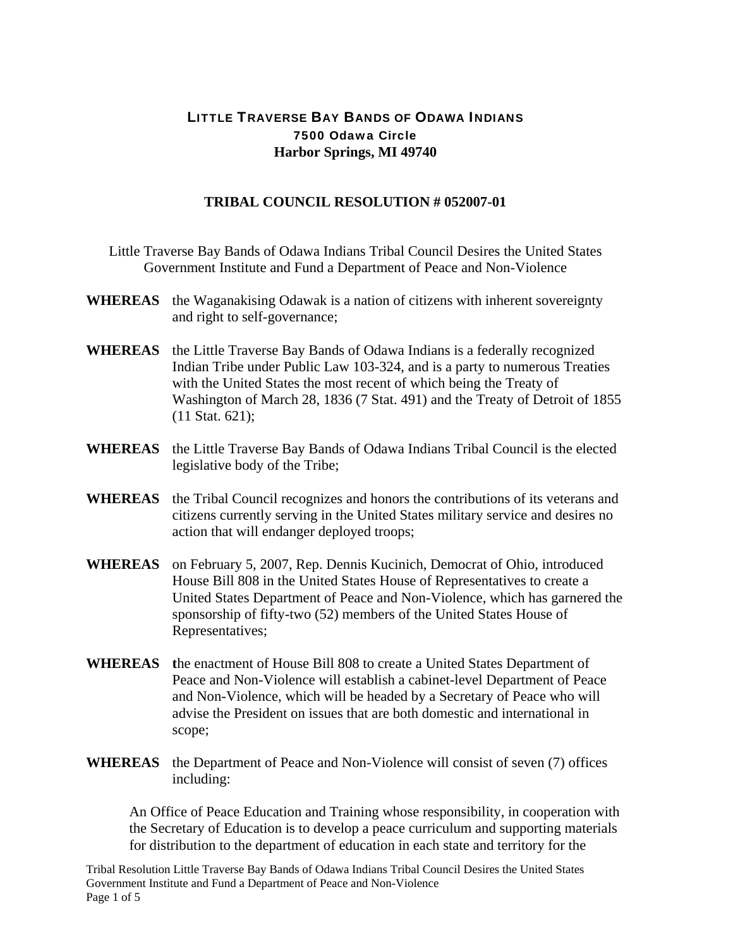## LITTLE TRAVERSE BAY BANDS OF ODAWA INDIANS 7500 Odawa Circle **Harbor Springs, MI 49740**

## **TRIBAL COUNCIL RESOLUTION # 052007-01**

- Little Traverse Bay Bands of Odawa Indians Tribal Council Desires the United States Government Institute and Fund a Department of Peace and Non-Violence
- **WHEREAS** the Waganakising Odawak is a nation of citizens with inherent sovereignty and right to self-governance;
- **WHEREAS** the Little Traverse Bay Bands of Odawa Indians is a federally recognized Indian Tribe under Public Law 103-324, and is a party to numerous Treaties with the United States the most recent of which being the Treaty of Washington of March 28, 1836 (7 Stat. 491) and the Treaty of Detroit of 1855 (11 Stat. 621);
- **WHEREAS** the Little Traverse Bay Bands of Odawa Indians Tribal Council is the elected legislative body of the Tribe;
- **WHEREAS** the Tribal Council recognizes and honors the contributions of its veterans and citizens currently serving in the United States military service and desires no action that will endanger deployed troops;
- **WHEREAS** on February 5, 2007, Rep. Dennis Kucinich, Democrat of Ohio, introduced House Bill 808 in the United States House of Representatives to create a United States Department of Peace and Non-Violence, which has garnered the sponsorship of fifty-two (52) members of the United States House of Representatives;
- **WHEREAS t**he enactment of House Bill 808 to create a United States Department of Peace and Non-Violence will establish a cabinet-level Department of Peace and Non-Violence, which will be headed by a Secretary of Peace who will advise the President on issues that are both domestic and international in scope;
- **WHEREAS** the Department of Peace and Non-Violence will consist of seven (7) offices including:

An Office of Peace Education and Training whose responsibility, in cooperation with the Secretary of Education is to develop a peace curriculum and supporting materials for distribution to the department of education in each state and territory for the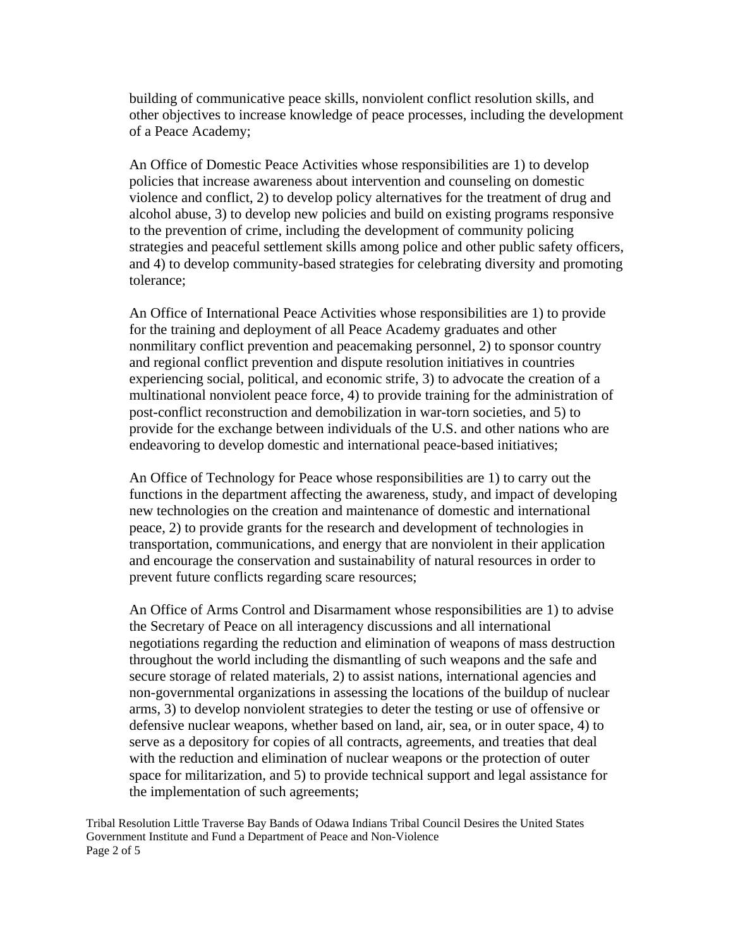building of communicative peace skills, nonviolent conflict resolution skills, and other objectives to increase knowledge of peace processes, including the development of a Peace Academy;

An Office of Domestic Peace Activities whose responsibilities are 1) to develop policies that increase awareness about intervention and counseling on domestic violence and conflict, 2) to develop policy alternatives for the treatment of drug and alcohol abuse, 3) to develop new policies and build on existing programs responsive to the prevention of crime, including the development of community policing strategies and peaceful settlement skills among police and other public safety officers, and 4) to develop community-based strategies for celebrating diversity and promoting tolerance;

An Office of International Peace Activities whose responsibilities are 1) to provide for the training and deployment of all Peace Academy graduates and other nonmilitary conflict prevention and peacemaking personnel, 2) to sponsor country and regional conflict prevention and dispute resolution initiatives in countries experiencing social, political, and economic strife, 3) to advocate the creation of a multinational nonviolent peace force, 4) to provide training for the administration of post-conflict reconstruction and demobilization in war-torn societies, and 5) to provide for the exchange between individuals of the U.S. and other nations who are endeavoring to develop domestic and international peace-based initiatives;

An Office of Technology for Peace whose responsibilities are 1) to carry out the functions in the department affecting the awareness, study, and impact of developing new technologies on the creation and maintenance of domestic and international peace, 2) to provide grants for the research and development of technologies in transportation, communications, and energy that are nonviolent in their application and encourage the conservation and sustainability of natural resources in order to prevent future conflicts regarding scare resources;

An Office of Arms Control and Disarmament whose responsibilities are 1) to advise the Secretary of Peace on all interagency discussions and all international negotiations regarding the reduction and elimination of weapons of mass destruction throughout the world including the dismantling of such weapons and the safe and secure storage of related materials, 2) to assist nations, international agencies and non-governmental organizations in assessing the locations of the buildup of nuclear arms, 3) to develop nonviolent strategies to deter the testing or use of offensive or defensive nuclear weapons, whether based on land, air, sea, or in outer space, 4) to serve as a depository for copies of all contracts, agreements, and treaties that deal with the reduction and elimination of nuclear weapons or the protection of outer space for militarization, and 5) to provide technical support and legal assistance for the implementation of such agreements;

Tribal Resolution Little Traverse Bay Bands of Odawa Indians Tribal Council Desires the United States Government Institute and Fund a Department of Peace and Non-Violence Page 2 of 5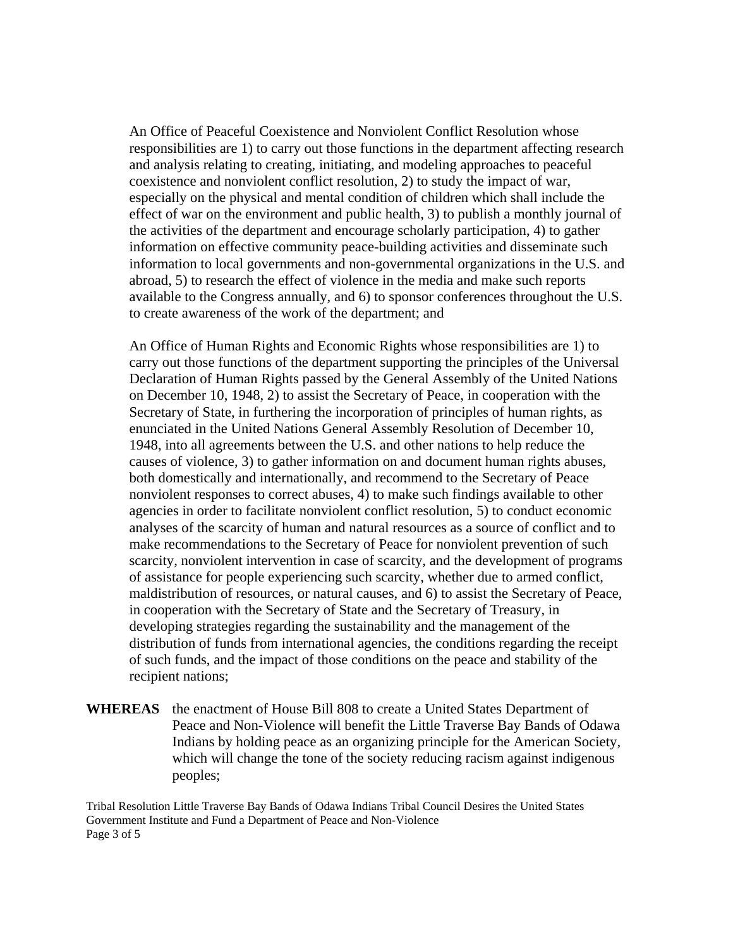An Office of Peaceful Coexistence and Nonviolent Conflict Resolution whose responsibilities are 1) to carry out those functions in the department affecting research and analysis relating to creating, initiating, and modeling approaches to peaceful coexistence and nonviolent conflict resolution, 2) to study the impact of war, especially on the physical and mental condition of children which shall include the effect of war on the environment and public health, 3) to publish a monthly journal of the activities of the department and encourage scholarly participation, 4) to gather information on effective community peace-building activities and disseminate such information to local governments and non-governmental organizations in the U.S. and abroad, 5) to research the effect of violence in the media and make such reports available to the Congress annually, and 6) to sponsor conferences throughout the U.S. to create awareness of the work of the department; and

An Office of Human Rights and Economic Rights whose responsibilities are 1) to carry out those functions of the department supporting the principles of the Universal Declaration of Human Rights passed by the General Assembly of the United Nations on December 10, 1948, 2) to assist the Secretary of Peace, in cooperation with the Secretary of State, in furthering the incorporation of principles of human rights, as enunciated in the United Nations General Assembly Resolution of December 10, 1948, into all agreements between the U.S. and other nations to help reduce the causes of violence, 3) to gather information on and document human rights abuses, both domestically and internationally, and recommend to the Secretary of Peace nonviolent responses to correct abuses, 4) to make such findings available to other agencies in order to facilitate nonviolent conflict resolution, 5) to conduct economic analyses of the scarcity of human and natural resources as a source of conflict and to make recommendations to the Secretary of Peace for nonviolent prevention of such scarcity, nonviolent intervention in case of scarcity, and the development of programs of assistance for people experiencing such scarcity, whether due to armed conflict, maldistribution of resources, or natural causes, and 6) to assist the Secretary of Peace, in cooperation with the Secretary of State and the Secretary of Treasury, in developing strategies regarding the sustainability and the management of the distribution of funds from international agencies, the conditions regarding the receipt of such funds, and the impact of those conditions on the peace and stability of the recipient nations;

**WHEREAS** the enactment of House Bill 808 to create a United States Department of Peace and Non-Violence will benefit the Little Traverse Bay Bands of Odawa Indians by holding peace as an organizing principle for the American Society, which will change the tone of the society reducing racism against indigenous peoples;

Tribal Resolution Little Traverse Bay Bands of Odawa Indians Tribal Council Desires the United States Government Institute and Fund a Department of Peace and Non-Violence Page 3 of 5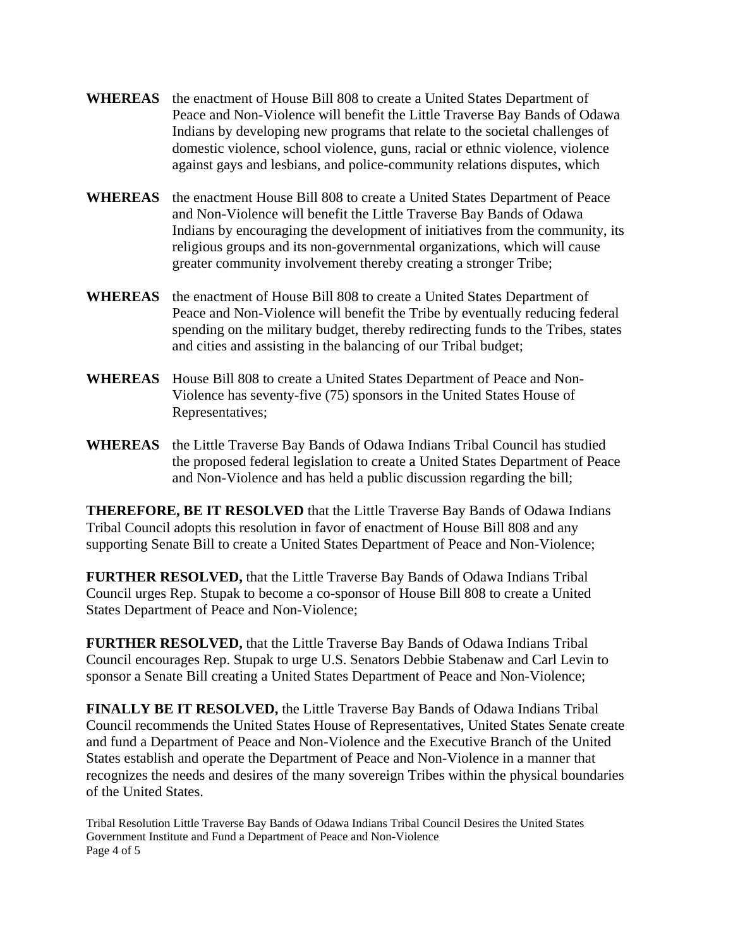- **WHEREAS** the enactment of House Bill 808 to create a United States Department of Peace and Non-Violence will benefit the Little Traverse Bay Bands of Odawa Indians by developing new programs that relate to the societal challenges of domestic violence, school violence, guns, racial or ethnic violence, violence against gays and lesbians, and police-community relations disputes, which
- **WHEREAS** the enactment House Bill 808 to create a United States Department of Peace and Non-Violence will benefit the Little Traverse Bay Bands of Odawa Indians by encouraging the development of initiatives from the community, its religious groups and its non-governmental organizations, which will cause greater community involvement thereby creating a stronger Tribe;
- **WHEREAS** the enactment of House Bill 808 to create a United States Department of Peace and Non-Violence will benefit the Tribe by eventually reducing federal spending on the military budget, thereby redirecting funds to the Tribes, states and cities and assisting in the balancing of our Tribal budget;
- **WHEREAS** House Bill 808 to create a United States Department of Peace and Non-Violence has seventy-five (75) sponsors in the United States House of Representatives;
- **WHEREAS** the Little Traverse Bay Bands of Odawa Indians Tribal Council has studied the proposed federal legislation to create a United States Department of Peace and Non-Violence and has held a public discussion regarding the bill;

**THEREFORE, BE IT RESOLVED** that the Little Traverse Bay Bands of Odawa Indians Tribal Council adopts this resolution in favor of enactment of House Bill 808 and any supporting Senate Bill to create a United States Department of Peace and Non-Violence;

**FURTHER RESOLVED,** that the Little Traverse Bay Bands of Odawa Indians Tribal Council urges Rep. Stupak to become a co-sponsor of House Bill 808 to create a United States Department of Peace and Non-Violence;

**FURTHER RESOLVED,** that the Little Traverse Bay Bands of Odawa Indians Tribal Council encourages Rep. Stupak to urge U.S. Senators Debbie Stabenaw and Carl Levin to sponsor a Senate Bill creating a United States Department of Peace and Non-Violence;

**FINALLY BE IT RESOLVED,** the Little Traverse Bay Bands of Odawa Indians Tribal Council recommends the United States House of Representatives, United States Senate create and fund a Department of Peace and Non-Violence and the Executive Branch of the United States establish and operate the Department of Peace and Non-Violence in a manner that recognizes the needs and desires of the many sovereign Tribes within the physical boundaries of the United States.

Tribal Resolution Little Traverse Bay Bands of Odawa Indians Tribal Council Desires the United States Government Institute and Fund a Department of Peace and Non-Violence Page 4 of 5